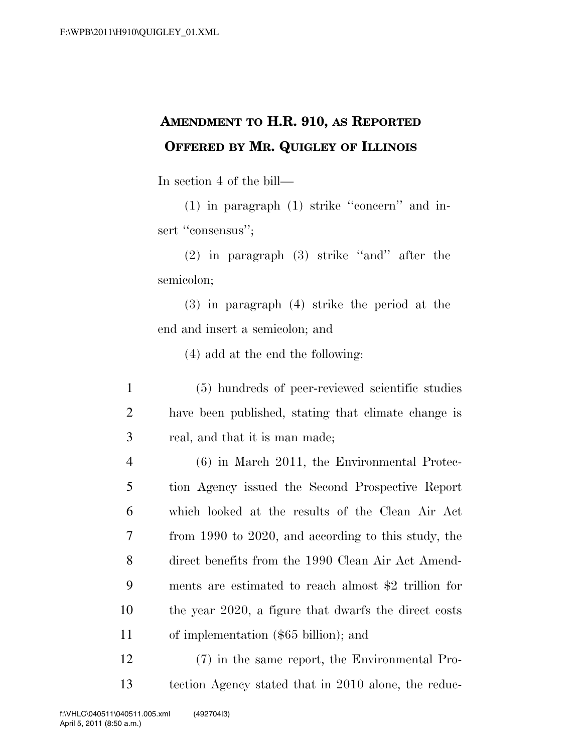## **AMENDMENT TO H.R. 910, AS REPORTED OFFERED BY MR. QUIGLEY OF ILLINOIS**

In section 4 of the bill—

(1) in paragraph (1) strike ''concern'' and insert "consensus":

(2) in paragraph (3) strike ''and'' after the semicolon;

(3) in paragraph (4) strike the period at the end and insert a semicolon; and

(4) add at the end the following:

1 (5) hundreds of peer-reviewed scientific studies 2 have been published, stating that climate change is 3 real, and that it is man made;

 (6) in March 2011, the Environmental Protec- tion Agency issued the Second Prospective Report which looked at the results of the Clean Air Act from 1990 to 2020, and according to this study, the direct benefits from the 1990 Clean Air Act Amend- ments are estimated to reach almost \$2 trillion for the year 2020, a figure that dwarfs the direct costs of implementation (\$65 billion); and

12 (7) in the same report, the Environmental Pro-13 tection Agency stated that in 2010 alone, the reduc